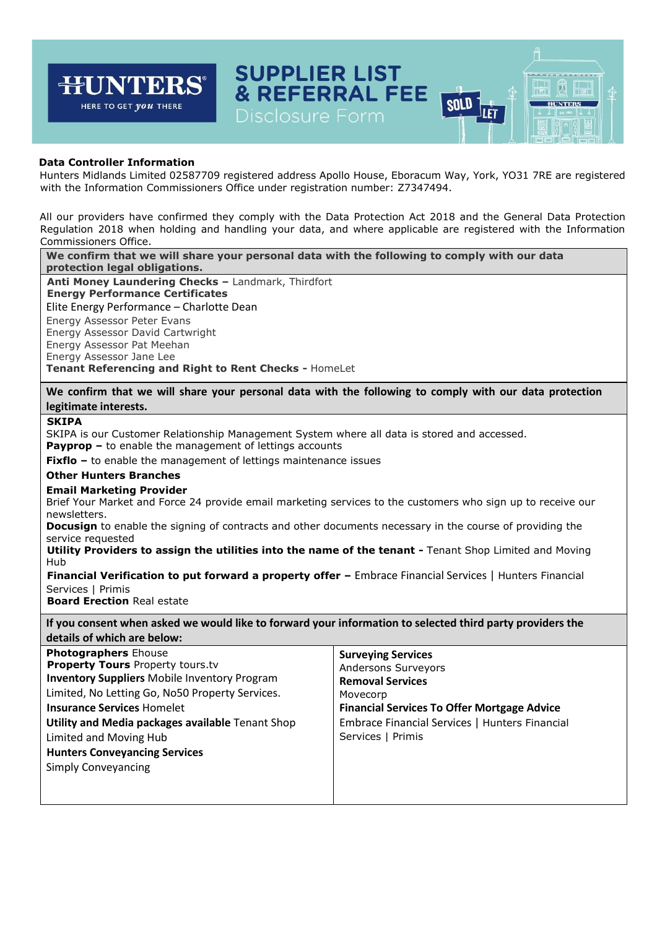

Hunters Midlands Limited 02587709 registered address Apollo House, Eboracum Way, York, YO31 7RE are registered with the Information Commissioners Office under registration number: Z7347494.

All our providers have confirmed they comply with the Data Protection Act 2018 and the General Data Protection Regulation 2018 when holding and handling your data, and where applicable are registered with the Information Commissioners Office.

**We confirm that we will share your personal data with the following to comply with our data protection legal obligations. Anti Money Laundering Checks –** Landmark, Thirdfort

**Energy Performance Certificates**  Elite Energy Performance – Charlotte Dean Energy Assessor Peter Evans Energy Assessor David Cartwright Energy Assessor Pat Meehan Energy Assessor Jane Lee **Tenant Referencing and Right to Rent Checks -** HomeLet

**We confirm that we will share your personal data with the following to comply with our data protection legitimate interests.** 

## **SKIPA**

SKIPA is our Customer Relationship Management System where all data is stored and accessed.

**Payprop –** to enable the management of lettings accounts

**Fixflo** – to enable the management of lettings maintenance issues

## **Other Hunters Branches**

#### **Email Marketing Provider**

Brief Your Market and Force 24 provide email marketing services to the customers who sign up to receive our newsletters.

**Docusign** to enable the signing of contracts and other documents necessary in the course of providing the service requested

**Utility Providers to assign the utilities into the name of the tenant -** Tenant Shop Limited and Moving Hub

**Financial Verification to put forward a property offer –** Embrace Financial Services | Hunters Financial Services | Primis

**Board Erection** Real estate

**If you consent when asked we would like to forward your information to selected third party providers the details of which are below:** 

| <b>Photographers Ehouse</b><br><b>Property Tours Property tours.tv</b><br><b>Inventory Suppliers Mobile Inventory Program</b><br>Limited, No Letting Go, No50 Property Services.<br><b>Insurance Services Homelet</b><br>Utility and Media packages available Tenant Shop<br>Limited and Moving Hub<br><b>Hunters Conveyancing Services</b><br><b>Simply Conveyancing</b> | <b>Surveying Services</b><br><b>Andersons Surveyors</b><br><b>Removal Services</b><br>Movecorp<br><b>Financial Services To Offer Mortgage Advice</b><br>Embrace Financial Services   Hunters Financial<br>Services   Primis |
|---------------------------------------------------------------------------------------------------------------------------------------------------------------------------------------------------------------------------------------------------------------------------------------------------------------------------------------------------------------------------|-----------------------------------------------------------------------------------------------------------------------------------------------------------------------------------------------------------------------------|
|---------------------------------------------------------------------------------------------------------------------------------------------------------------------------------------------------------------------------------------------------------------------------------------------------------------------------------------------------------------------------|-----------------------------------------------------------------------------------------------------------------------------------------------------------------------------------------------------------------------------|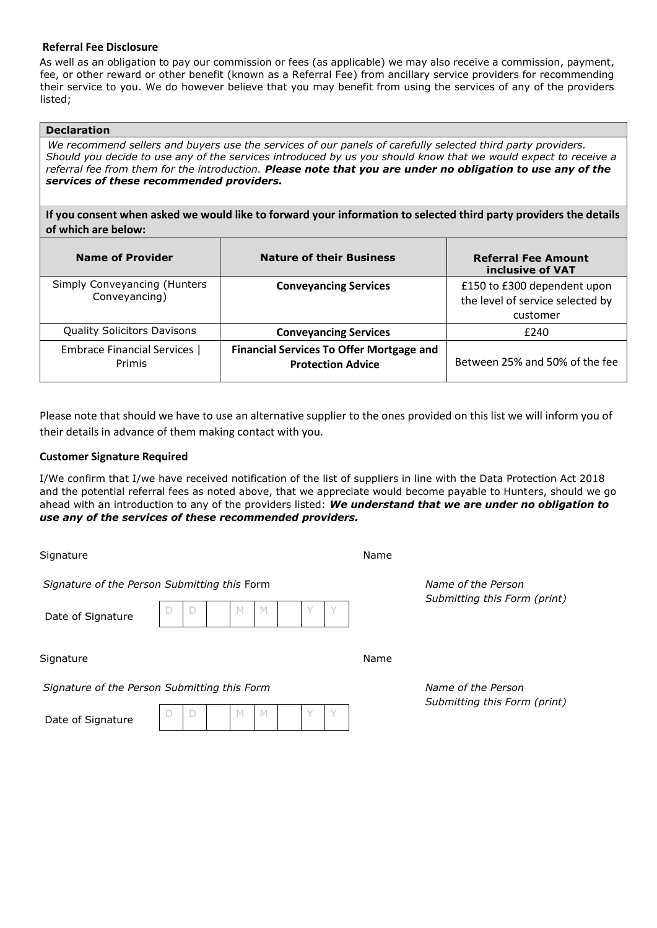## **Referral Fee Disclosure**

As well as an obligation to pay our commission or fees (as applicable) we may also receive a commission, payment, fee, or other reward or other benefit (known as a Referral Fee) from ancillary service providers for recommending their service to you. We do however believe that you may benefit from using the services of any of the providers listed;

## **Declaration**

*We recommend sellers and buyers use the services of our panels of carefully selected third party providers. Should you decide to use any of the services introduced by us you should know that we would expect to receive a referral fee from them for the introduction. Please note that you are under no obligation to use any of the services of these recommended providers.* 

**If you consent when asked we would like to forward your information to selected third party providers the details of which are below:** 

| <b>Name of Provider</b>                       | <b>Nature of their Business</b>                                             | <b>Referral Fee Amount</b><br>inclusive of VAT                              |
|-----------------------------------------------|-----------------------------------------------------------------------------|-----------------------------------------------------------------------------|
| Simply Conveyancing (Hunters<br>Conveyancing) | <b>Conveyancing Services</b>                                                | £150 to £300 dependent upon<br>the level of service selected by<br>customer |
| <b>Quality Solicitors Davisons</b>            | <b>Conveyancing Services</b>                                                | £240                                                                        |
| <b>Embrace Financial Services  </b><br>Primis | <b>Financial Services To Offer Mortgage and</b><br><b>Protection Advice</b> | Between 25% and 50% of the fee                                              |

Please note that should we have to use an alternative supplier to the ones provided on this list we will inform you of their details in advance of them making contact with you.

# **Customer Signature Required**

I/We confirm that I/we have received notification of the list of suppliers in line with the Data Protection Act 2018 and the potential referral fees as noted above, that we appreciate would become payable to Hunters, should we go ahead with an introduction to any of the providers listed: *We understand that we are under no obligation to use any of the services of these recommended providers.*

Signature Name

*Signature of the Person Submitting this* Form *Name of the Person* 

Date of Signatur

| ◠ |  |  |  |  |
|---|--|--|--|--|

Signature Name

*Signature of the Person Submitting this Form Name of the Person* 

Date of Signatur

| v<br>- - |  |  |
|----------|--|--|
|----------|--|--|

*Submitting this Form (print)* 

*Submitting this Form (print)*